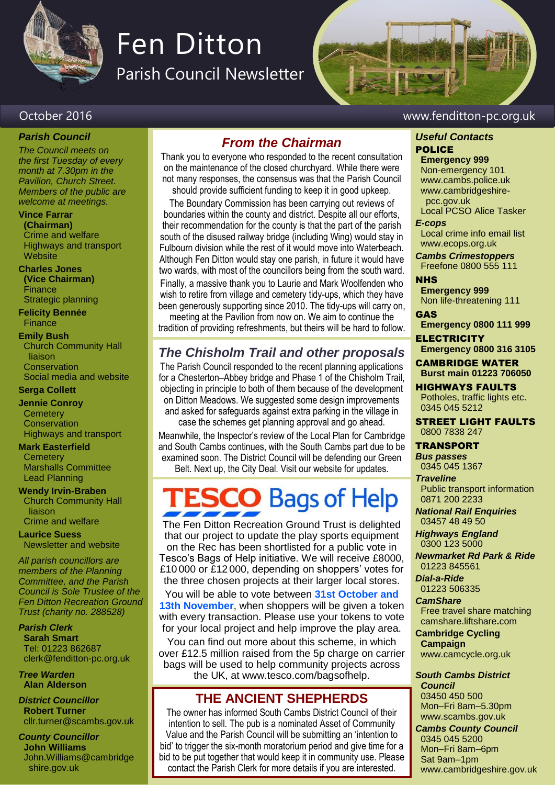

# Fen Ditton

Parish Council Newsletter

#### October 2016 www.fenditton-pc.org.uk

### *Parish Council*

*The Council meets on the first Tuesday of every month at 7.30pm in the Pavilion, Church Street. Members of the public are welcome at meetings.*

#### **Vince Farrar**

**(Chairman)** Crime and welfare Highways and transport **Website** 

**Charles Jones (Vice Chairman) Finance** Strategic planning

**Felicity Bennée Finance** 

#### **Emily Bush**

Church Community Hall liaison **Conservation** Social media and website

**Serga Collett**

#### **Jennie Conroy**

**Cemetery Conservation** Highways and transport

#### **Mark Easterfield**

**Cemetery** Marshalls Committee Lead Planning

#### **Wendy Irvin-Braben** Church Community Hall liaison

Crime and welfare **Laurice Suess**

Newsletter and website

*All parish councillors are members of the Planning Committee, and the Parish Council is Sole Trustee of the Fen Ditton Recreation Ground Trust (charity no. 288528)*

*Parish Clerk* **Sarah Smart** Tel: 01223 862687 clerk@fenditton-pc.org.uk

*Tree Warden* **Alan Alderson**

*District Councillor* **Robert Turner** cllr.turner@scambs.gov.uk

*County Councillor* **John Williams** John.Williams@cambridge shire.gov.uk

#### *From the Chairman*

Thank you to everyone who responded to the recent consultation on the maintenance of the closed churchyard. While there were not many responses, the consensus was that the Parish Council should provide sufficient funding to keep it in good upkeep.

The Boundary Commission has been carrying out reviews of boundaries within the county and district. Despite all our efforts, their recommendation for the county is that the part of the parish south of the disused railway bridge (including Wing) would stay in Fulbourn division while the rest of it would move into Waterbeach. Although Fen Ditton would stay one parish, in future it would have two wards, with most of the councillors being from the south ward.

Finally, a massive thank you to Laurie and Mark Woolfenden who wish to retire from village and cemetery tidy-ups, which they have been generously supporting since 2010. The tidy-ups will carry on, meeting at the Pavilion from now on. We aim to continue the

tradition of providing refreshments, but theirs will be hard to follow.

#### *The Chisholm Trail and other proposals*

The Parish Council responded to the recent planning applications for a Chesterton–Abbey bridge and Phase 1 of the Chisholm Trail, objecting in principle to both of them because of the development on Ditton Meadows. We suggested some design improvements and asked for safeguards against extra parking in the village in case the schemes get planning approval and go ahead.

Meanwhile, the Inspector's review of the Local Plan for Cambridge and South Cambs continues, with the South Cambs part due to be examined soon. The District Council will be defending our Green Belt. Next up, the City Deal. Visit our website for updates.

# **SCO** Bags of Help

The Fen Ditton Recreation Ground Trust is delighted that our project to update the play sports equipment on the Rec has been shortlisted for a public vote in Tesco's Bags of Help initiative. We will receive £8000, £10 000 or £12 000, depending on shoppers' votes for the three chosen projects at their larger local stores.

You will be able to vote between **31st October and 13th November**, when shoppers will be given a token with every transaction. Please use your tokens to vote for your local project and help improve the play area.

You can find out more about this scheme, in which over £12.5 million raised from the 5p charge on carrier bags will be used to help community projects across the UK, at www.tesco.com/bagsofhelp.

#### **THE ANCIENT SHEPHERDS**

The owner has informed South Cambs District Council of their intention to sell. The pub is a nominated Asset of Community Value and the Parish Council will be submitting an 'intention to bid' to trigger the six-month moratorium period and give time for a bid to be put together that would keep it in community use. Please contact the Parish Clerk for more details if you are interested.

#### *Useful Contacts* POLICE

### **Emergency 999**

Non-emergency 101 www.cambs.police.uk www.cambridgeshire pcc.gov.uk

Local PCSO Alice Tasker *E-cops*

Local crime info email list www.ecops.org.uk

*Cambs Crimestoppers* Freefone 0800 555 111

**NHS Emergency 999** Non life-threatening 111

GAS **Emergency 0800 111 999**

**ELECTRICITY Emergency 0800 316 3105**

CAMBRIDGE WATER **Burst main 01223 706050**

HIGHWAYS FAULTS Potholes, traffic lights etc. 0345 045 5212

STREET LIGHT FAULTS 0800 7838 247

#### TRANSPORT

*Bus passes* 0345 045 1367

*Traveline* Public transport information 0871 200 2233

*National Rail Enquiries* 03457 48 49 50

*Highways England* 0300 123 5000

*Newmarket Rd Park & Ride* 01223 845561

*Dial-a-Ride* 01223 506335

*CamShare*

Free travel share matching camshare.liftshare**.**com

**Cambridge Cycling Campaign**

www.camcycle.org.uk

*South Cambs District Council* 03450 450 500 Mon–Fri 8am–5.30pm

www.scambs.gov.uk *Cambs County Council* 0345 045 5200 Mon–Fri 8am–6pm Sat 9am–1pm www.cambridgeshire.gov.uk